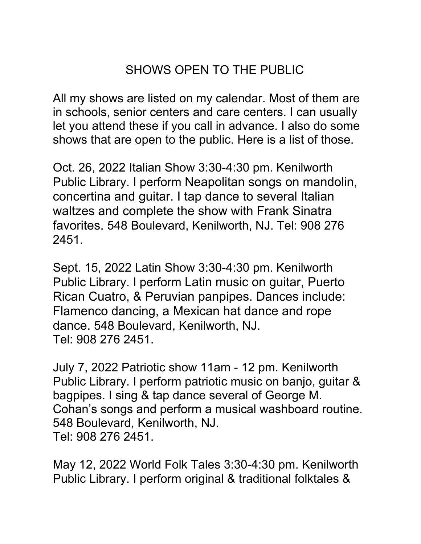## SHOWS OPEN TO THE PUBLIC

All my shows are listed on my calendar. Most of them are in schools, senior centers and care centers. I can usually let you attend these if you call in advance. I also do some shows that are open to the public. Here is a list of those.

Oct. 26, 2022 Italian Show 3:30-4:30 pm. Kenilworth Public Library. I perform Neapolitan songs on mandolin, concertina and guitar. I tap dance to several Italian waltzes and complete the show with Frank Sinatra favorites. 548 Boulevard, Kenilworth, NJ. Tel: 908 276 2451.

Sept. 15, 2022 Latin Show 3:30-4:30 pm. Kenilworth Public Library. I perform Latin music on guitar, Puerto Rican Cuatro, & Peruvian panpipes. Dances include: Flamenco dancing, a Mexican hat dance and rope dance. 548 Boulevard, Kenilworth, NJ. Tel: 908 276 2451.

July 7, 2022 Patriotic show 11am - 12 pm. Kenilworth Public Library. I perform patriotic music on banjo, guitar & bagpipes. I sing & tap dance several of George M. Cohan's songs and perform a musical washboard routine. 548 Boulevard, Kenilworth, NJ. Tel: 908 276 2451.

May 12, 2022 World Folk Tales 3:30-4:30 pm. Kenilworth Public Library. I perform original & traditional folktales &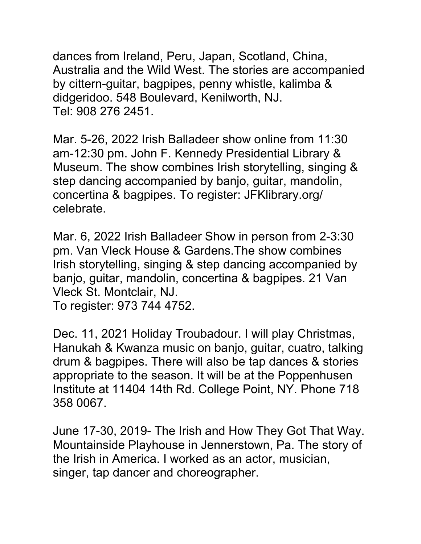dances from Ireland, Peru, Japan, Scotland, China, Australia and the Wild West. The stories are accompanied by cittern-guitar, bagpipes, penny whistle, kalimba & didgeridoo. 548 Boulevard, Kenilworth, NJ. Tel: 908 276 2451.

Mar. 5-26, 2022 Irish Balladeer show online from 11:30 am-12:30 pm. John F. Kennedy Presidential Library & Museum. The show combines Irish storytelling, singing & step dancing accompanied by banjo, guitar, mandolin, concertina & bagpipes. To register: JFKlibrary.org/ celebrate.

Mar. 6, 2022 Irish Balladeer Show in person from 2-3:30 pm. Van Vleck House & Gardens.The show combines Irish storytelling, singing & step dancing accompanied by banjo, guitar, mandolin, concertina & bagpipes. 21 Van Vleck St. Montclair, NJ.

To register: 973 744 4752.

Dec. 11, 2021 Holiday Troubadour. I will play Christmas, Hanukah & Kwanza music on banjo, guitar, cuatro, talking drum & bagpipes. There will also be tap dances & stories appropriate to the season. It will be at the Poppenhusen Institute at 11404 14th Rd. College Point, NY. Phone 718 358 0067.

June 17-30, 2019- The Irish and How They Got That Way. Mountainside Playhouse in Jennerstown, Pa. The story of the Irish in America. I worked as an actor, musician, singer, tap dancer and choreographer.